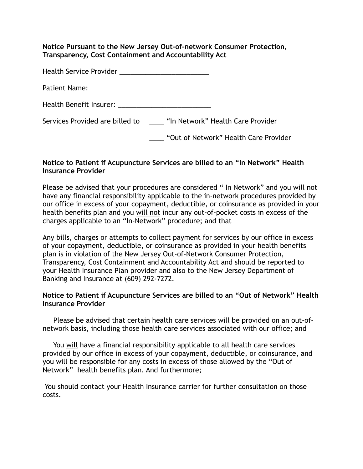## **Notice Pursuant to the New Jersey Out-of-network Consumer Protection, Transparency, Cost Containment and Accountability Act**

Health Service Provider \_\_\_\_\_\_\_\_\_\_\_\_\_\_\_\_\_\_\_\_\_\_\_\_

Patient Name: \_\_\_\_\_\_\_\_\_\_\_\_\_\_\_\_\_\_\_\_\_\_\_\_\_\_

Health Benefit Insurer: **Example 2018** 

Services Provided are billed to \_\_\_\_\_ "In Network" Health Care Provider

\_\_\_\_ "Out of Network" Health Care Provider

## **Notice to Patient if Acupuncture Services are billed to an "In Network" Health Insurance Provider**

Please be advised that your procedures are considered " In Network" and you will not have any financial responsibility applicable to the in-network procedures provided by our office in excess of your copayment, deductible, or coinsurance as provided in your health benefits plan and you will not incur any out-of-pocket costs in excess of the charges applicable to an "In-Network" procedure; and that

Any bills, charges or attempts to collect payment for services by our office in excess of your copayment, deductible, or coinsurance as provided in your health benefits plan is in violation of the New Jersey Out-of-Network Consumer Protection, Transparency, Cost Containment and Accountability Act and should be reported to your Health Insurance Plan provider and also to the New Jersey Department of Banking and Insurance at (609) 292-7272.

## **Notice to Patient if Acupuncture Services are billed to an "Out of Network" Health Insurance Provider**

 Please be advised that certain health care services will be provided on an out-ofnetwork basis, including those health care services associated with our office; and

 You will have a financial responsibility applicable to all health care services provided by our office in excess of your copayment, deductible, or coinsurance, and you will be responsible for any costs in excess of those allowed by the "Out of Network" health benefits plan. And furthermore;

 You should contact your Health Insurance carrier for further consultation on those costs.